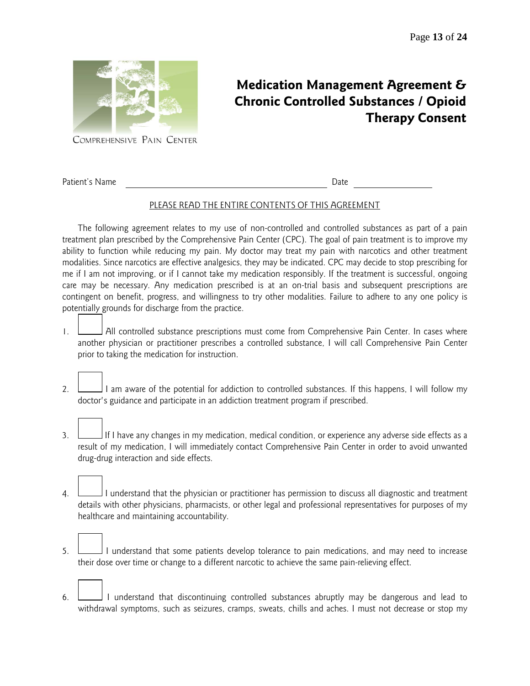**Therapy Consent**



Patient's Name Date

**Medication Management Agreement & Chronic Controlled Substances / Opioid** 

## PLEASE READ THE ENTIRE CONTENTS OF THIS AGREEMENT

The following agreement relates to my use of non-controlled and controlled substances as part of a pain treatment plan prescribed by the Comprehensive Pain Center (CPC). The goal of pain treatment is to improve my ability to function while reducing my pain. My doctor may treat my pain with narcotics and other treatment modalities. Since narcotics are effective analgesics, they may be indicated. CPC may decide to stop prescribing for me if I am not improving, or if I cannot take my medication responsibly. If the treatment is successful, ongoing care may be necessary. Any medication prescribed is at an on-trial basis and subsequent prescriptions are contingent on benefit, progress, and willingness to try other modalities. Failure to adhere to any one policy is potentially grounds for discharge from the practice.

- 1. All controlled substance prescriptions must come from Comprehensive Pain Center. In cases where another physician or practitioner prescribes a controlled substance, I will call Comprehensive Pain Center prior to taking the medication for instruction.
- 2. I am aware of the potential for addiction to controlled substances. If this happens, I will follow my doctor's guidance and participate in an addiction treatment program if prescribed.
- 3. If I have any changes in my medication, medical condition, or experience any adverse side effects as a result of my medication, I will immediately contact Comprehensive Pain Center in order to avoid unwanted drug-drug interaction and side effects.
- 4. I understand that the physician or practitioner has permission to discuss all diagnostic and treatment details with other physicians, pharmacists, or other legal and professional representatives for purposes of my healthcare and maintaining accountability.
- 5. I understand that some patients develop tolerance to pain medications, and may need to increase their dose over time or change to a different narcotic to achieve the same pain-relieving effect.
- 6. I understand that discontinuing controlled substances abruptly may be dangerous and lead to withdrawal symptoms, such as seizures, cramps, sweats, chills and aches. I must not decrease or stop my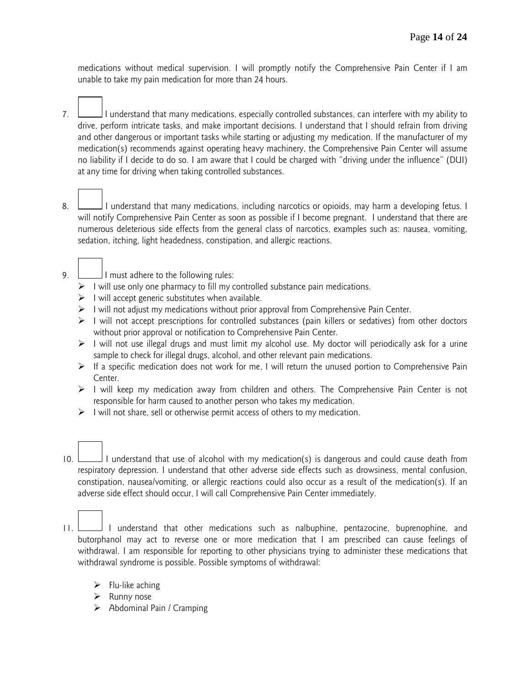medications without medical supervision. I will promptly notify the Comprehensive Pain Center if I am unable to take my pain medication for more than 24 hours.

- 7. I understand that many medications, especially controlled substances, can interfere with my ability to drive, perform intricate tasks, and make important decisions. I understand that I should refrain from driving and other dangerous or important tasks while starting or adjusting my medication. If the manufacturer of my medication(s) recommends against operating heavy machinery, the Comprehensive Pain Center will assume no liability if I decide to do so. I am aware that I could be charged with "driving under the influence" (DUI) at any time for driving when taking controlled substances.
- 8. I understand that many medications, including narcotics or opioids, may harm a developing fetus. I will notify Comprehensive Pain Center as soon as possible if I become pregnant. I understand that there are numerous deleterious side effects from the general class of narcotics, examples such as: nausea, vomiting, sedation, itching, light headedness, constipation, and allergic reactions.
- 9. **I** must adhere to the following rules:
	- $\triangleright$  I will use only one pharmacy to fill my controlled substance pain medications.
	- $\triangleright$  I will accept generic substitutes when available.
	- $\triangleright$  I will not adjust my medications without prior approval from Comprehensive Pain Center.
	- $\triangleright$  I will not accept prescriptions for controlled substances (pain killers or sedatives) from other doctors without prior approval or notification to Comprehensive Pain Center.
	- $\triangleright$  I will not use illegal drugs and must limit my alcohol use. My doctor will periodically ask for a urine sample to check for illegal drugs, alcohol, and other relevant pain medications.
	- $\triangleright$  If a specific medication does not work for me, I will return the unused portion to Comprehensive Pain Center.
	- $\triangleright$  I will keep my medication away from children and others. The Comprehensive Pain Center is not responsible for harm caused to another person who takes my medication.
	- $\triangleright$  I will not share, sell or otherwise permit access of others to my medication.
- 10. I understand that use of alcohol with my medication(s) is dangerous and could cause death from respiratory depression. I understand that other adverse side effects such as drowsiness, mental confusion, constipation, nausea/vomiting, or allergic reactions could also occur as a result of the medication(s). If an adverse side effect should occur, I will call Comprehensive Pain Center immediately.
- 11. I understand that other medications such as nalbuphine, pentazocine, buprenophine, and butorphanol may act to reverse one or more medication that I am prescribed can cause feelings of withdrawal. I am responsible for reporting to other physicians trying to administer these medications that withdrawal syndrome is possible. Possible symptoms of withdrawal:
	- $\triangleright$  Flu-like aching
	- $\triangleright$  Runny nose
	- $\triangleright$  Abdominal Pain / Cramping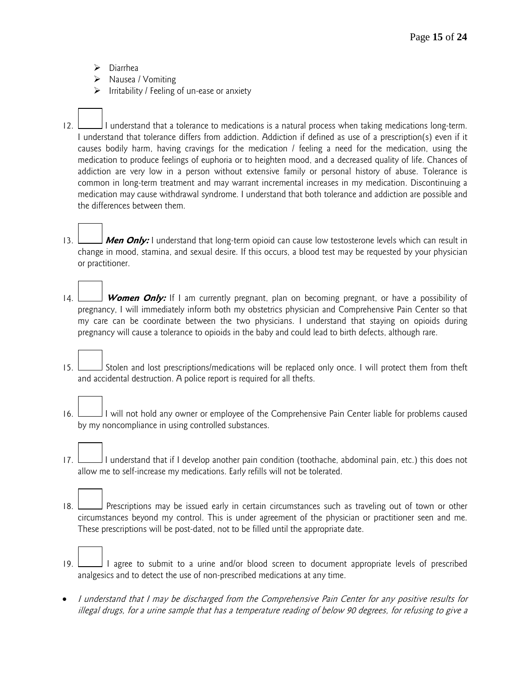- Diarrhea
- $\triangleright$  Nausea / Vomiting
- $\triangleright$  Irritability / Feeling of un-ease or anxiety
- 12. I understand that a tolerance to medications is a natural process when taking medications long-term. I understand that tolerance differs from addiction. Addiction if defined as use of a prescription(s) even if it causes bodily harm, having cravings for the medication / feeling a need for the medication, using the medication to produce feelings of euphoria or to heighten mood, and a decreased quality of life. Chances of addiction are very low in a person without extensive family or personal history of abuse. Tolerance is common in long-term treatment and may warrant incremental increases in my medication. Discontinuing a medication may cause withdrawal syndrome. I understand that both tolerance and addiction are possible and the differences between them.
- 13. **Men Only:** I understand that long-term opioid can cause low testosterone levels which can result in change in mood, stamina, and sexual desire. If this occurs, a blood test may be requested by your physician or practitioner.
- 14. **Women Only:** If I am currently pregnant, plan on becoming pregnant, or have a possibility of pregnancy, I will immediately inform both my obstetrics physician and Comprehensive Pain Center so that my care can be coordinate between the two physicians. I understand that staying on opioids during pregnancy will cause a tolerance to opioids in the baby and could lead to birth defects, although rare.
- 15. Stolen and lost prescriptions/medications will be replaced only once. I will protect them from theft and accidental destruction. A police report is required for all thefts.
- 16. I will not hold any owner or employee of the Comprehensive Pain Center liable for problems caused by my noncompliance in using controlled substances.
- 17. I understand that if I develop another pain condition (toothache, abdominal pain, etc.) this does not allow me to self-increase my medications. Early refills will not be tolerated.
- 18. Prescriptions may be issued early in certain circumstances such as traveling out of town or other circumstances beyond my control. This is under agreement of the physician or practitioner seen and me. These prescriptions will be post-dated, not to be filled until the appropriate date.
- 19. I agree to submit to a urine and/or blood screen to document appropriate levels of prescribed analgesics and to detect the use of non-prescribed medications at any time.
- I understand that I may be discharged from the Comprehensive Pain Center for any positive results for illegal drugs, for a urine sample that has a temperature reading of below 90 degrees, for refusing to give a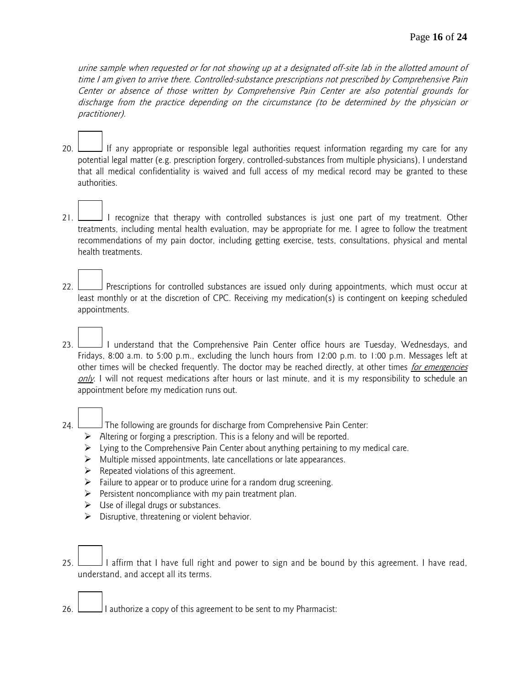urine sample when requested or for not showing up at a designated off-site lab in the allotted amount of time I am given to arrive there. Controlled-substance prescriptions not prescribed by Comprehensive Pain Center or absence of those written by Comprehensive Pain Center are also potential grounds for discharge from the practice depending on the circumstance (to be determined by the physician or practitioner).

- 20. If any appropriate or responsible legal authorities request information regarding my care for any potential legal matter (e.g. prescription forgery, controlled-substances from multiple physicians), I understand that all medical confidentiality is waived and full access of my medical record may be granted to these authorities.
- 21. I recognize that therapy with controlled substances is just one part of my treatment. Other treatments, including mental health evaluation, may be appropriate for me. I agree to follow the treatment recommendations of my pain doctor, including getting exercise, tests, consultations, physical and mental health treatments.
- 22. Prescriptions for controlled substances are issued only during appointments, which must occur at least monthly or at the discretion of CPC. Receiving my medication(s) is contingent on keeping scheduled appointments.
- 23. I understand that the Comprehensive Pain Center office hours are Tuesday, Wednesdays, and Fridays, 8:00 a.m. to 5:00 p.m., excluding the lunch hours from 12:00 p.m. to 1:00 p.m. Messages left at other times will be checked frequently. The doctor may be reached directly, at other times for emergencies only. I will not request medications after hours or last minute, and it is my responsibility to schedule an appointment before my medication runs out.
- 24. The following are grounds for discharge from Comprehensive Pain Center:
	- Altering or forging a prescription. This is a felony and will be reported.
	- $\triangleright$  Lying to the Comprehensive Pain Center about anything pertaining to my medical care.
	- $\triangleright$  Multiple missed appointments, late cancellations or late appearances.
	- $\triangleright$  Repeated violations of this agreement.
	- $\triangleright$  Failure to appear or to produce urine for a random drug screening.
	- $\triangleright$  Persistent noncompliance with my pain treatment plan.
	- $\triangleright$  Use of illegal drugs or substances.
	- $\triangleright$  Disruptive, threatening or violent behavior.
- 25. I affirm that I have full right and power to sign and be bound by this agreement. I have read, understand, and accept all its terms.
- 26. I is authorize a copy of this agreement to be sent to my Pharmacist: